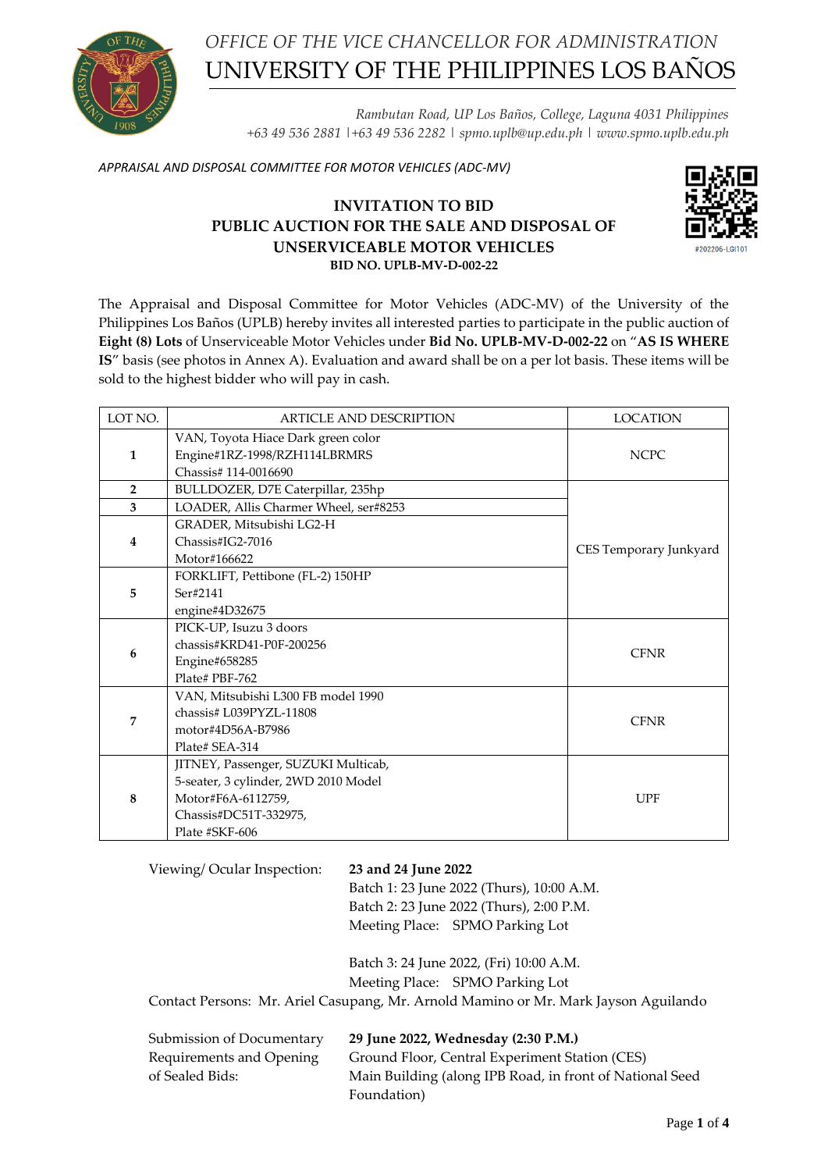

*Rambutan Road, UP Los Baños, College, Laguna 4031 Philippines +63 49 536 2881 |+63 49 536 2282 | spmo.uplb@up.edu.ph | www.spmo.uplb.edu.ph*

*APPRAISAL AND DISPOSAL COMMITTEE FOR MOTOR VEHICLES (ADC-MV)*

### **INVITATION TO BID PUBLIC AUCTION FOR THE SALE AND DISPOSAL OF UNSERVICEABLE MOTOR VEHICLES BID NO. UPLB-MV-D-002-22**



The Appraisal and Disposal Committee for Motor Vehicles (ADC-MV) of the University of the Philippines Los Baños (UPLB) hereby invites all interested parties to participate in the public auction of **Eight (8) Lots** of Unserviceable Motor Vehicles under **Bid No. UPLB-MV-D-002-22** on "**AS IS WHERE IS**" basis (see photos in Annex A). Evaluation and award shall be on a per lot basis. These items will be sold to the highest bidder who will pay in cash.

| LOT NO.        | <b>ARTICLE AND DESCRIPTION</b>        | <b>LOCATION</b>        |
|----------------|---------------------------------------|------------------------|
| 1              | VAN, Toyota Hiace Dark green color    | NCPC                   |
|                | Engine#1RZ-1998/RZH114LBRMRS          |                        |
|                | Chassis# 114-0016690                  |                        |
| $\overline{2}$ | BULLDOZER, D7E Caterpillar, 235hp     | CES Temporary Junkyard |
| 3              | LOADER, Allis Charmer Wheel, ser#8253 |                        |
| 4              | GRADER, Mitsubishi LG2-H              |                        |
|                | $Chassis#IG2-7016$                    |                        |
|                | Motor#166622                          |                        |
| 5              | FORKLIFT, Pettibone (FL-2) 150HP      |                        |
|                | Ser#2141                              |                        |
|                | engine#4D32675                        |                        |
| 6              | PICK-UP, Isuzu 3 doors                |                        |
|                | chassis#KRD41-P0F-200256              | <b>CFNR</b>            |
|                | Engine#658285                         |                        |
|                | Plate# PBF-762                        |                        |
| 7              | VAN, Mitsubishi L300 FB model 1990    |                        |
|                | chassis#L039PYZL-11808                | <b>CFNR</b>            |
|                | motor#4D56A-B7986                     |                        |
|                | Plate# SEA-314                        |                        |
| 8              | JITNEY, Passenger, SUZUKI Multicab,   |                        |
|                | 5-seater, 3 cylinder, 2WD 2010 Model  |                        |
|                | Motor#F6A-6112759,                    | <b>UPF</b>             |
|                | Chassis#DC51T-332975,                 |                        |
|                | Plate #SKF-606                        |                        |

Viewing/ Ocular Inspection: **23 and 24 June 2022**

Batch 1: 23 June 2022 (Thurs), 10:00 A.M. Batch 2: 23 June 2022 (Thurs), 2:00 P.M. Meeting Place: SPMO Parking Lot

Batch 3: 24 June 2022, (Fri) 10:00 A.M. Meeting Place: SPMO Parking Lot

Contact Persons: Mr. Ariel Casupang, Mr. Arnold Mamino or Mr. Mark Jayson Aguilando

| Submission of Documentary | 29 June 2022, Wednesday (2:30 P.M.)                      |
|---------------------------|----------------------------------------------------------|
| Requirements and Opening  | Ground Floor, Central Experiment Station (CES)           |
| of Sealed Bids:           | Main Building (along IPB Road, in front of National Seed |
|                           | Foundation)                                              |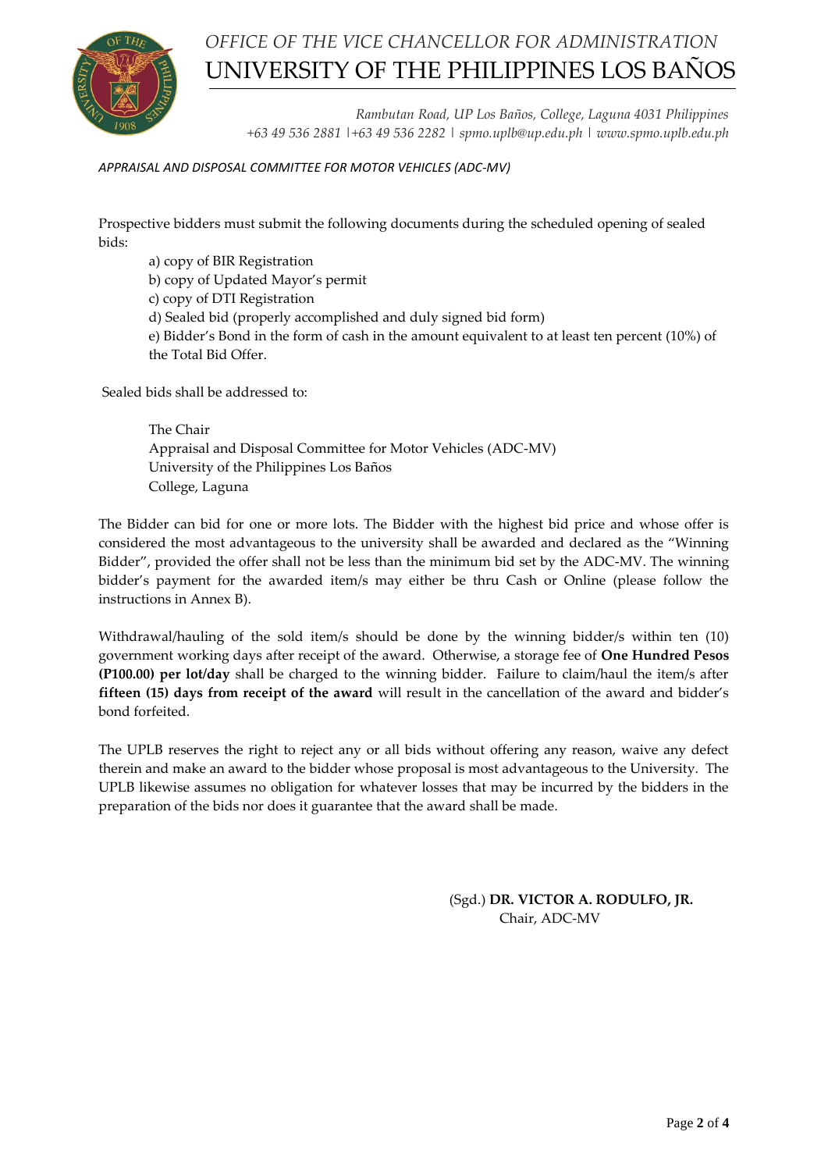

*Rambutan Road, UP Los Baños, College, Laguna 4031 Philippines +63 49 536 2881 |+63 49 536 2282 | spmo.uplb@up.edu.ph | www.spmo.uplb.edu.ph*

### *APPRAISAL AND DISPOSAL COMMITTEE FOR MOTOR VEHICLES (ADC-MV)*

Prospective bidders must submit the following documents during the scheduled opening of sealed bids:

a) copy of BIR Registration b) copy of Updated Mayor's permit c) copy of DTI Registration d) Sealed bid (properly accomplished and duly signed bid form) e) Bidder's Bond in the form of cash in the amount equivalent to at least ten percent (10%) of the Total Bid Offer.

Sealed bids shall be addressed to:

The Chair Appraisal and Disposal Committee for Motor Vehicles (ADC-MV) University of the Philippines Los Baños College, Laguna

The Bidder can bid for one or more lots. The Bidder with the highest bid price and whose offer is considered the most advantageous to the university shall be awarded and declared as the "Winning Bidder", provided the offer shall not be less than the minimum bid set by the ADC-MV. The winning bidder's payment for the awarded item/s may either be thru Cash or Online (please follow the instructions in Annex B).

Withdrawal/hauling of the sold item/s should be done by the winning bidder/s within ten (10) government working days after receipt of the award. Otherwise, a storage fee of **One Hundred Pesos (P100.00) per lot/day** shall be charged to the winning bidder. Failure to claim/haul the item/s after **fifteen (15) days from receipt of the award** will result in the cancellation of the award and bidder's bond forfeited.

The UPLB reserves the right to reject any or all bids without offering any reason, waive any defect therein and make an award to the bidder whose proposal is most advantageous to the University. The UPLB likewise assumes no obligation for whatever losses that may be incurred by the bidders in the preparation of the bids nor does it guarantee that the award shall be made.

> (Sgd.) **DR. VICTOR A. RODULFO, JR.** Chair, ADC-MV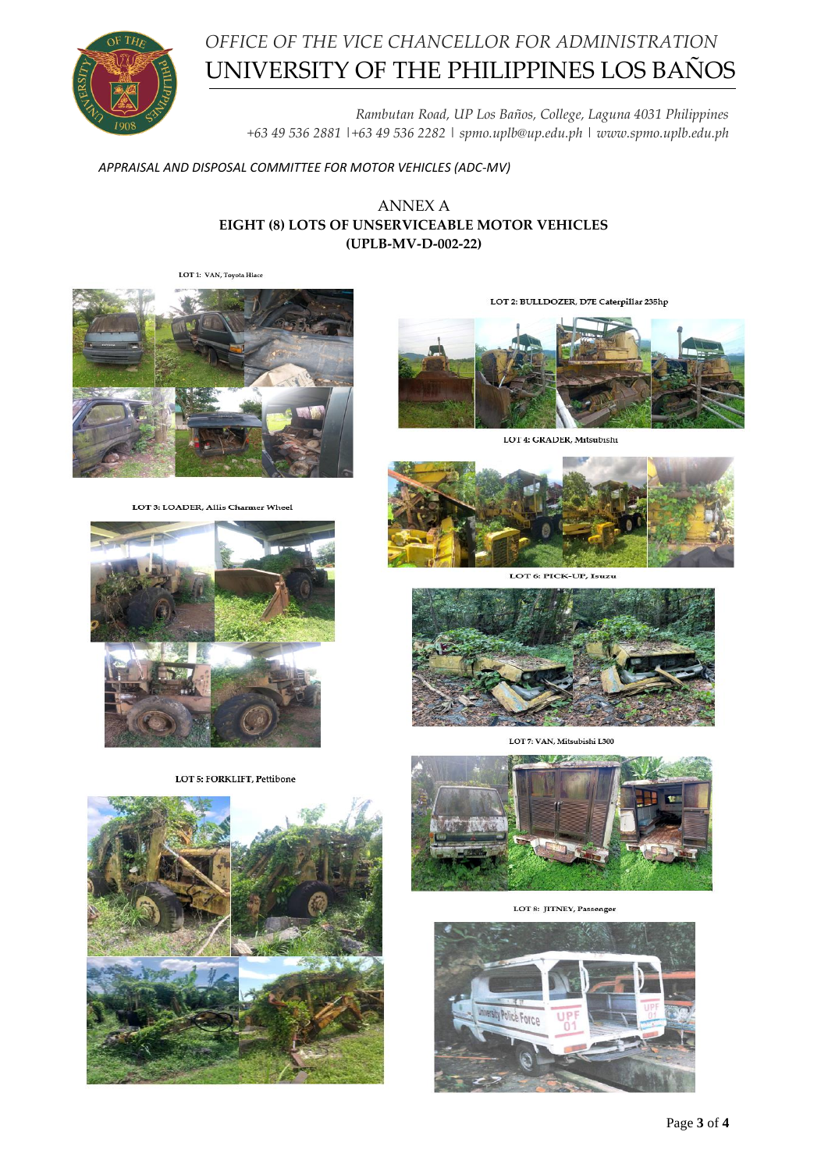

*Rambutan Road, UP Los Baños, College, Laguna 4031 Philippines +63 49 536 2881 |+63 49 536 2282 | spmo.uplb@up.edu.ph | www.spmo.uplb.edu.ph*

#### *APPRAISAL AND DISPOSAL COMMITTEE FOR MOTOR VEHICLES (ADC-MV)*

### ANNEX A **EIGHT (8) LOTS OF UNSERVICEABLE MOTOR VEHICLES (UPLB-MV-D-002-22)**

LOT 1: VAN, Toyota Hiace



LOT 3: LOADER, Allis Charmer Wheel

LOT 5: FORKLIFT, Pettibone



LOT 2: BULLDOZER, D7E Caterpillar 235hp

LOT 4: GRADER, Mitsubishi



LOT 6: PICK-UP, Isuzu



LOT 7: VAN, Mitsubishi L300



LOT 8: JITNEY, Passenger